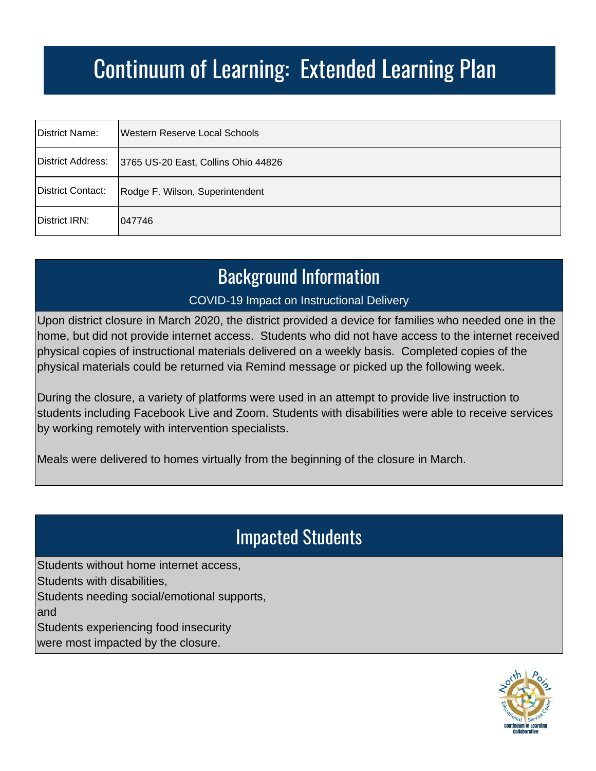| District Name:    | Western Reserve Local Schools                         |
|-------------------|-------------------------------------------------------|
|                   | District Address: 3765 US-20 East, Collins Ohio 44826 |
| District Contact: | Rodge F. Wilson, Superintendent                       |
| District IRN:     | 047746                                                |

#### Background Information

#### COVID-19 Impact on Instructional Delivery

Upon district closure in March 2020, the district provided a device for families who needed one in the home, but did not provide internet access. Students who did not have access to the internet received physical copies of instructional materials delivered on a weekly basis. Completed copies of the physical materials could be returned via Remind message or picked up the following week.

During the closure, a variety of platforms were used in an attempt to provide live instruction to students including Facebook Live and Zoom. Students with disabilities were able to receive services by working remotely with intervention specialists.

Meals were delivered to homes virtually from the beginning of the closure in March.

### Impacted Students

Students without home internet access, Students with disabilities, Students needing social/emotional supports, and Students experiencing food insecurity

were most impacted by the closure.

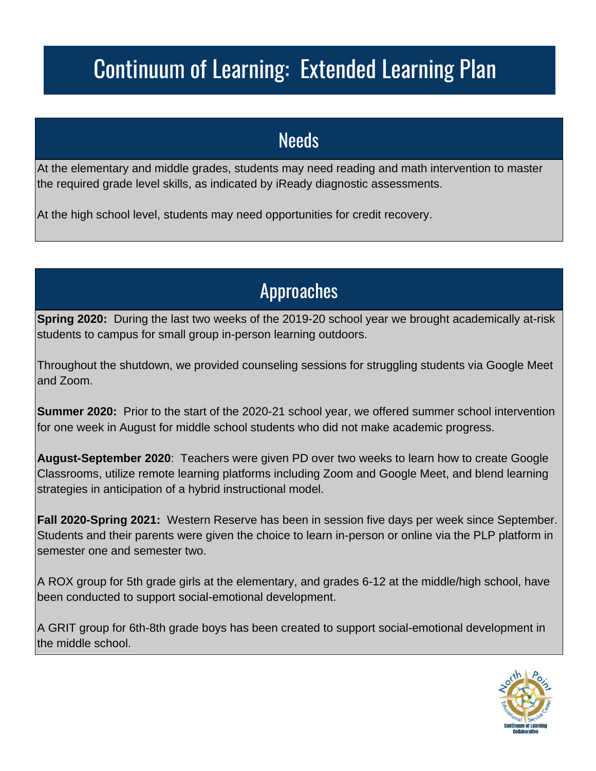#### **Needs**

At the elementary and middle grades, students may need reading and math intervention to master the required grade level skills, as indicated by iReady diagnostic assessments.

At the high school level, students may need opportunities for credit recovery.

### Approaches

**Spring 2020:** During the last two weeks of the 2019-20 school year we brought academically at-risk students to campus for small group in-person learning outdoors.

Throughout the shutdown, we provided counseling sessions for struggling students via Google Meet and Zoom.

**Summer 2020:** Prior to the start of the 2020-21 school year, we offered summer school intervention for one week in August for middle school students who did not make academic progress.

**August-September 2020**: Teachers were given PD over two weeks to learn how to create Google Classrooms, utilize remote learning platforms including Zoom and Google Meet, and blend learning strategies in anticipation of a hybrid instructional model.

**Fall 2020-Spring 2021:** Western Reserve has been in session five days per week since September. Students and their parents were given the choice to learn in-person or online via the PLP platform in semester one and semester two.

A ROX group for 5th grade girls at the elementary, and grades 6-12 at the middle/high school, have been conducted to support social-emotional development.

A GRIT group for 6th-8th grade boys has been created to support social-emotional development in the middle school.

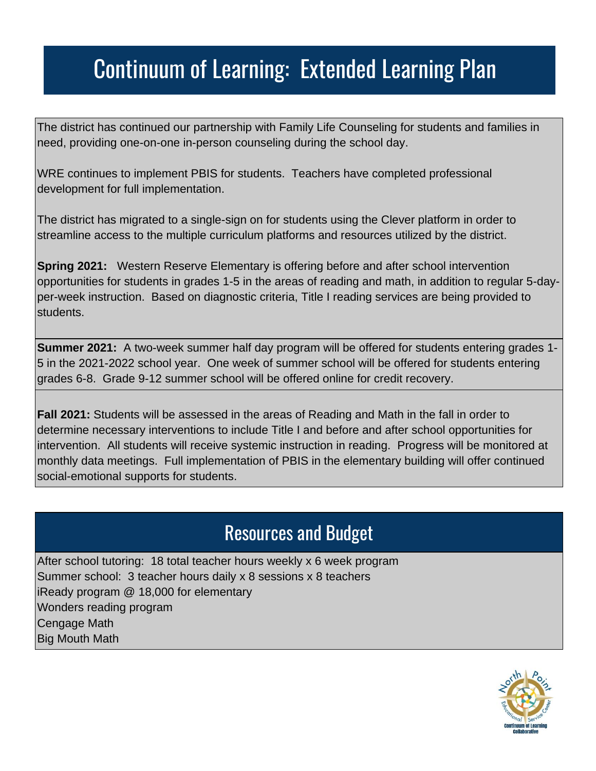The district has continued our partnership with Family Life Counseling for students and families in need, providing one-on-one in-person counseling during the school day.

WRE continues to implement PBIS for students. Teachers have completed professional development for full implementation.

The district has migrated to a single-sign on for students using the Clever platform in order to streamline access to the multiple curriculum platforms and resources utilized by the district.

**Spring 2021:** Western Reserve Elementary is offering before and after school intervention opportunities for students in grades 1-5 in the areas of reading and math, in addition to regular 5-dayper-week instruction. Based on diagnostic criteria, Title I reading services are being provided to students.

**Summer 2021:** A two-week summer half day program will be offered for students entering grades 1- 5 in the 2021-2022 school year. One week of summer school will be offered for students entering grades 6-8. Grade 9-12 summer school will be offered online for credit recovery.

**Fall 2021:** Students will be assessed in the areas of Reading and Math in the fall in order to determine necessary interventions to include Title I and before and after school opportunities for intervention. All students will receive systemic instruction in reading. Progress will be monitored at monthly data meetings. Full implementation of PBIS in the elementary building will offer continued social-emotional supports for students.

#### Resources and Budget

After school tutoring: 18 total teacher hours weekly x 6 week program Summer school: 3 teacher hours daily x 8 sessions x 8 teachers iReady program @ 18,000 for elementary Wonders reading program Cengage Math Big Mouth Math